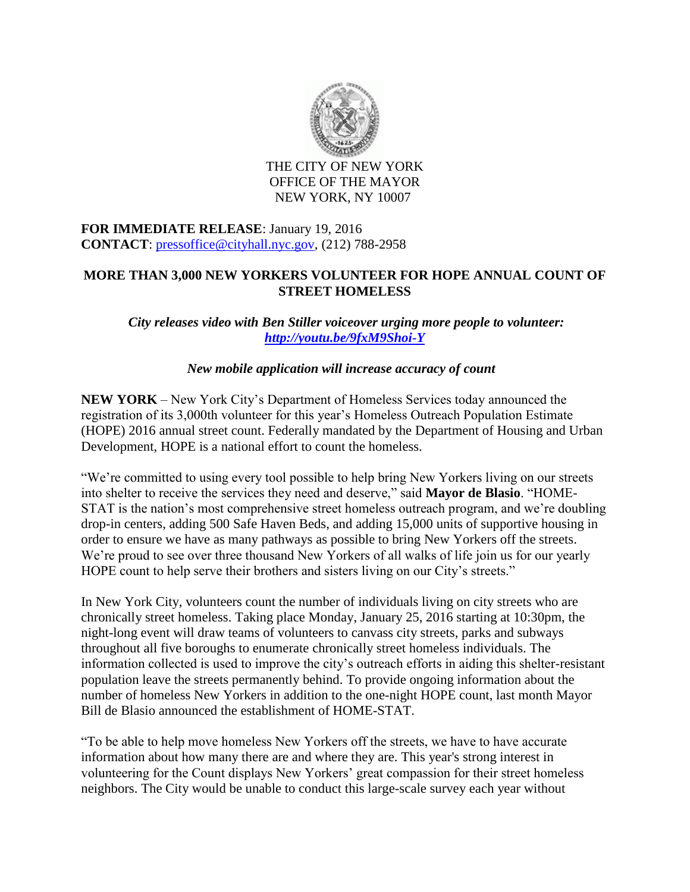

THE CITY OF NEW YORK OFFICE OF THE MAYOR NEW YORK, NY 10007

## **FOR IMMEDIATE RELEASE**: January 19, 2016 **CONTACT**: [pressoffice@cityhall.nyc.gov,](mailto:pressoffice@cityhall.nyc.gov) (212) 788-2958

## **MORE THAN 3,000 NEW YORKERS VOLUNTEER FOR HOPE ANNUAL COUNT OF STREET HOMELESS**

*City releases video with Ben Stiller voiceover urging more people to volunteer: <http://youtu.be/9fxM9Shoi-Y>*

## *New mobile application will increase accuracy of count*

**NEW YORK** – New York City's Department of Homeless Services today announced the registration of its 3,000th volunteer for this year's Homeless Outreach Population Estimate (HOPE) 2016 annual street count. Federally mandated by the Department of Housing and Urban Development, HOPE is a national effort to count the homeless.

"We're committed to using every tool possible to help bring New Yorkers living on our streets into shelter to receive the services they need and deserve," said **Mayor de Blasio**. "HOME-STAT is the nation's most comprehensive street homeless outreach program, and we're doubling drop-in centers, adding 500 Safe Haven Beds, and adding 15,000 units of supportive housing in order to ensure we have as many pathways as possible to bring New Yorkers off the streets. We're proud to see over three thousand New Yorkers of all walks of life join us for our yearly HOPE count to help serve their brothers and sisters living on our City's streets."

In New York City, volunteers count the number of individuals living on city streets who are chronically street homeless. Taking place Monday, January 25, 2016 starting at 10:30pm, the night-long event will draw teams of volunteers to canvass city streets, parks and subways throughout all five boroughs to enumerate chronically street homeless individuals. The information collected is used to improve the city's outreach efforts in aiding this shelter-resistant population leave the streets permanently behind. To provide ongoing information about the number of homeless New Yorkers in addition to the one-night HOPE count, last month Mayor Bill de Blasio announced the establishment of HOME-STAT.

"To be able to help move homeless New Yorkers off the streets, we have to have accurate information about how many there are and where they are. This year's strong interest in volunteering for the Count displays New Yorkers' great compassion for their street homeless neighbors. The City would be unable to conduct this large-scale survey each year without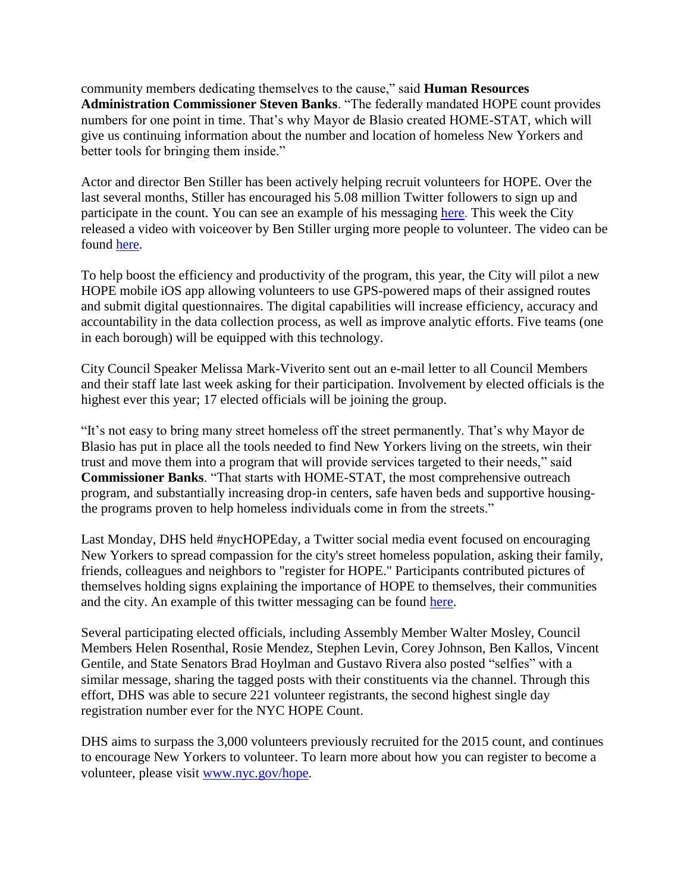community members dedicating themselves to the cause," said **Human Resources Administration Commissioner Steven Banks**. "The federally mandated HOPE count provides numbers for one point in time. That's why Mayor de Blasio created HOME-STAT, which will give us continuing information about the number and location of homeless New Yorkers and better tools for bringing them inside."

Actor and director Ben Stiller has been actively helping recruit volunteers for HOPE. Over the last several months, Stiller has encouraged his 5.08 million Twitter followers to sign up and participate in the count. You can see an example of his messaging [here.](http://bit.ly/1WfdW5d) This week the City released a video with voiceover by Ben Stiller urging more people to volunteer. The video can be found [here.](http://youtu.be/9fxM9Shoi-Y)

To help boost the efficiency and productivity of the program, this year, the City will pilot a new HOPE mobile iOS app allowing volunteers to use GPS-powered maps of their assigned routes and submit digital questionnaires. The digital capabilities will increase efficiency, accuracy and accountability in the data collection process, as well as improve analytic efforts. Five teams (one in each borough) will be equipped with this technology.

City Council Speaker Melissa Mark-Viverito sent out an e-mail letter to all Council Members and their staff late last week asking for their participation. Involvement by elected officials is the highest ever this year; 17 elected officials will be joining the group.

"It's not easy to bring many street homeless off the street permanently. That's why Mayor de Blasio has put in place all the tools needed to find New Yorkers living on the streets, win their trust and move them into a program that will provide services targeted to their needs," said **Commissioner Banks**. "That starts with HOME-STAT, the most comprehensive outreach program, and substantially increasing drop-in centers, safe haven beds and supportive housingthe programs proven to help homeless individuals come in from the streets."

Last Monday, DHS held #nycHOPEday, a Twitter social media event focused on encouraging New Yorkers to spread compassion for the city's street homeless population, asking their family, friends, colleagues and neighbors to "register for HOPE." Participants contributed pictures of themselves holding signs explaining the importance of HOPE to themselves, their communities and the city. An example of this twitter messaging can be found [here.](http://bit.ly/1ZpWEST)

Several participating elected officials, including Assembly Member Walter Mosley, Council Members Helen Rosenthal, Rosie Mendez, Stephen Levin, Corey Johnson, Ben Kallos, Vincent Gentile, and State Senators Brad Hoylman and Gustavo Rivera also posted "selfies" with a similar message, sharing the tagged posts with their constituents via the channel. Through this effort, DHS was able to secure 221 volunteer registrants, the second highest single day registration number ever for the NYC HOPE Count.

DHS aims to surpass the 3,000 volunteers previously recruited for the 2015 count, and continues to encourage New Yorkers to volunteer. To learn more about how you can register to become a volunteer, please visit [www.nyc.gov/hope.](http://www.nyc.gov/hope)